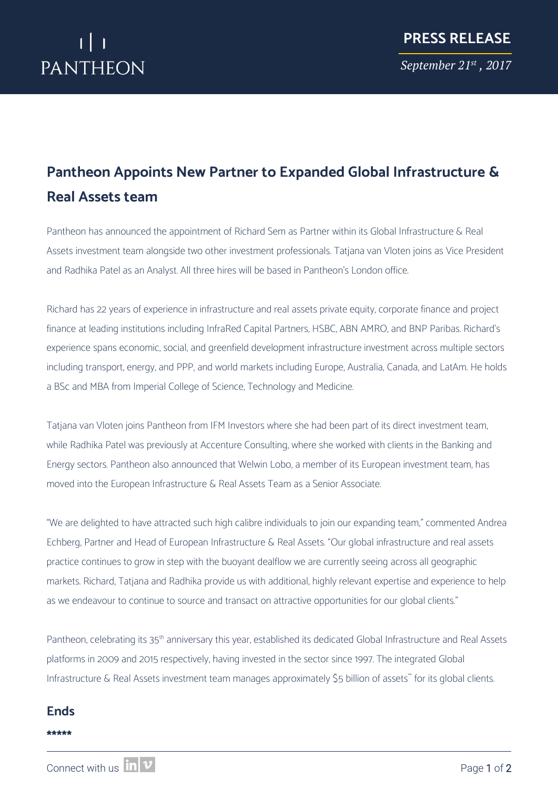## **Pantheon Appoints New Partner to Expanded Global Infrastructure & Real Assets team**

Pantheon has announced the appointment of Richard Sem as Partner within its Global Infrastructure & Real Assets investment team alongside two other investment professionals. Tatjana van Vloten joins as Vice President and Radhika Patel as an Analyst. All three hires will be based in Pantheon's London office.

Richard has 22 years of experience in infrastructure and real assets private equity, corporate finance and project finance at leading institutions including InfraRed Capital Partners, HSBC, ABN AMRO, and BNP Paribas. Richard's experience spans economic, social, and greenfield development infrastructure investment across multiple sectors including transport, energy, and PPP, and world markets including Europe, Australia, Canada, and LatAm. He holds a BSc and MBA from Imperial College of Science, Technology and Medicine.

Tatjana van Vloten joins Pantheon from IFM Investors where she had been part of its direct investment team, while Radhika Patel was previously at Accenture Consulting, where she worked with clients in the Banking and Energy sectors. Pantheon also announced that Welwin Lobo, a member of its European investment team, has moved into the European Infrastructure & Real Assets Team as a Senior Associate.

"We are delighted to have attracted such high calibre individuals to join our expanding team," commented Andrea Echberg, Partner and Head of European Infrastructure & Real Assets. "Our global infrastructure and real assets practice continues to grow in step with the buoyant dealflow we are currently seeing across all geographic markets. Richard, Tatjana and Radhika provide us with additional, highly relevant expertise and experience to help as we endeavour to continue to source and transact on attractive opportunities for our global clients."

Pantheon, celebrating its 35<sup>th</sup> anniversary this year, established its dedicated Global Infrastructure and Real Assets platforms in 2009 and 2015 respectively, having invested in the sector since 1997. The integrated Global Infrastructure & Real Assets investment team manages approximately \$5 billion of assets\* for its global clients.

#### **Ends**

#### **\*\*\*\*\***